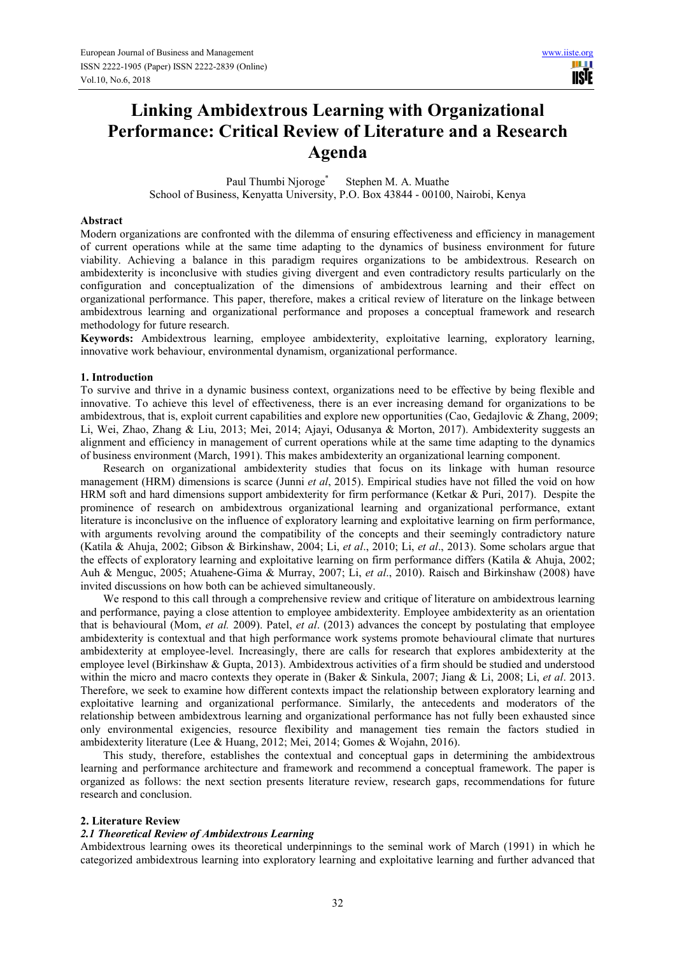HH 1 **USIE** 

# **Linking Ambidextrous Learning with Organizational Performance: Critical Review of Literature and a Research Agenda**

Paul Thumbi Nioroge<sup>\*</sup> Stephen M. A. Muathe School of Business, Kenyatta University, P.O. Box 43844 - 00100, Nairobi, Kenya

#### **Abstract**

Modern organizations are confronted with the dilemma of ensuring effectiveness and efficiency in management of current operations while at the same time adapting to the dynamics of business environment for future viability. Achieving a balance in this paradigm requires organizations to be ambidextrous. Research on ambidexterity is inconclusive with studies giving divergent and even contradictory results particularly on the configuration and conceptualization of the dimensions of ambidextrous learning and their effect on organizational performance. This paper, therefore, makes a critical review of literature on the linkage between ambidextrous learning and organizational performance and proposes a conceptual framework and research methodology for future research.

**Keywords:** Ambidextrous learning, employee ambidexterity, exploitative learning, exploratory learning, innovative work behaviour, environmental dynamism, organizational performance.

#### **1. Introduction**

To survive and thrive in a dynamic business context, organizations need to be effective by being flexible and innovative. To achieve this level of effectiveness, there is an ever increasing demand for organizations to be ambidextrous, that is, exploit current capabilities and explore new opportunities (Cao, Gedajlovic & Zhang, 2009; Li, Wei, Zhao, Zhang & Liu, 2013; Mei, 2014; Ajayi, Odusanya & Morton, 2017). Ambidexterity suggests an alignment and efficiency in management of current operations while at the same time adapting to the dynamics of business environment (March, 1991). This makes ambidexterity an organizational learning component.

Research on organizational ambidexterity studies that focus on its linkage with human resource management (HRM) dimensions is scarce (Junni *et al*, 2015). Empirical studies have not filled the void on how HRM soft and hard dimensions support ambidexterity for firm performance (Ketkar & Puri, 2017). Despite the prominence of research on ambidextrous organizational learning and organizational performance, extant literature is inconclusive on the influence of exploratory learning and exploitative learning on firm performance, with arguments revolving around the compatibility of the concepts and their seemingly contradictory nature (Katila & Ahuja, 2002; Gibson & Birkinshaw, 2004; Li, *et al*., 2010; Li, *et al*., 2013). Some scholars argue that the effects of exploratory learning and exploitative learning on firm performance differs (Katila & Ahuja, 2002; Auh & Menguc, 2005; Atuahene-Gima & Murray, 2007; Li, *et al*., 2010). Raisch and Birkinshaw (2008) have invited discussions on how both can be achieved simultaneously.

We respond to this call through a comprehensive review and critique of literature on ambidextrous learning and performance, paying a close attention to employee ambidexterity. Employee ambidexterity as an orientation that is behavioural (Mom, *et al.* 2009). Patel, *et al*. (2013) advances the concept by postulating that employee ambidexterity is contextual and that high performance work systems promote behavioural climate that nurtures ambidexterity at employee-level. Increasingly, there are calls for research that explores ambidexterity at the employee level (Birkinshaw & Gupta, 2013). Ambidextrous activities of a firm should be studied and understood within the micro and macro contexts they operate in (Baker & Sinkula, 2007; Jiang & Li, 2008; Li, *et al*. 2013. Therefore, we seek to examine how different contexts impact the relationship between exploratory learning and exploitative learning and organizational performance. Similarly, the antecedents and moderators of the relationship between ambidextrous learning and organizational performance has not fully been exhausted since only environmental exigencies, resource flexibility and management ties remain the factors studied in ambidexterity literature (Lee & Huang, 2012; Mei, 2014; Gomes & Wojahn, 2016).

This study, therefore, establishes the contextual and conceptual gaps in determining the ambidextrous learning and performance architecture and framework and recommend a conceptual framework. The paper is organized as follows: the next section presents literature review, research gaps, recommendations for future research and conclusion.

#### **2. Literature Review**

#### *2.1 Theoretical Review of Ambidextrous Learning*

Ambidextrous learning owes its theoretical underpinnings to the seminal work of March (1991) in which he categorized ambidextrous learning into exploratory learning and exploitative learning and further advanced that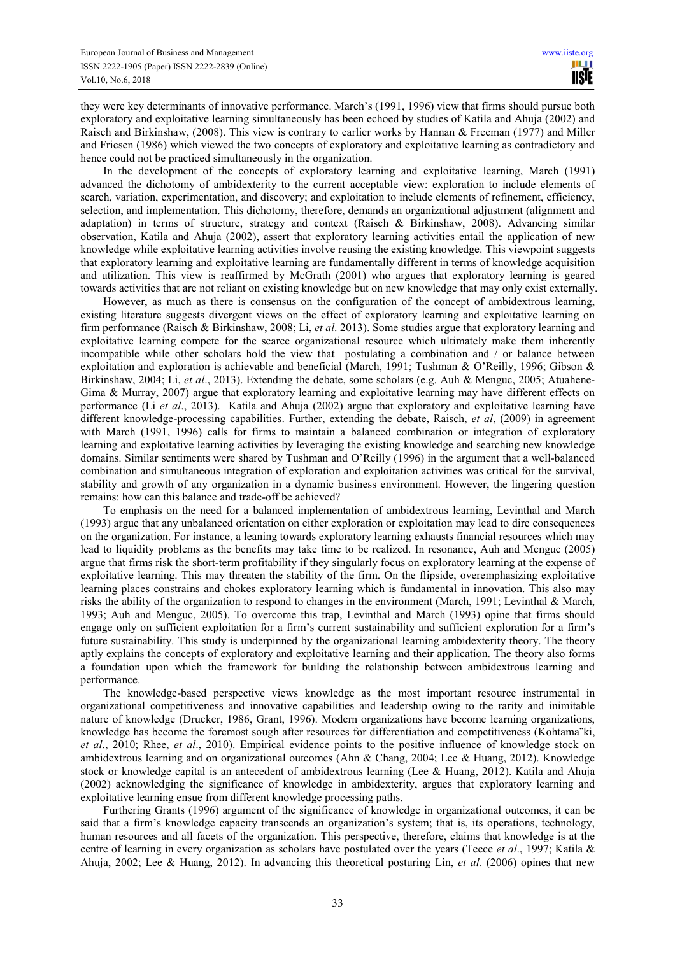they were key determinants of innovative performance. March's (1991, 1996) view that firms should pursue both exploratory and exploitative learning simultaneously has been echoed by studies of Katila and Ahuja (2002) and Raisch and Birkinshaw, (2008). This view is contrary to earlier works by Hannan & Freeman (1977) and Miller and Friesen (1986) which viewed the two concepts of exploratory and exploitative learning as contradictory and hence could not be practiced simultaneously in the organization.

In the development of the concepts of exploratory learning and exploitative learning, March (1991) advanced the dichotomy of ambidexterity to the current acceptable view: exploration to include elements of search, variation, experimentation, and discovery; and exploitation to include elements of refinement, efficiency, selection, and implementation. This dichotomy, therefore, demands an organizational adjustment (alignment and adaptation) in terms of structure, strategy and context (Raisch & Birkinshaw, 2008). Advancing similar observation, Katila and Ahuja (2002), assert that exploratory learning activities entail the application of new knowledge while exploitative learning activities involve reusing the existing knowledge. This viewpoint suggests that exploratory learning and exploitative learning are fundamentally different in terms of knowledge acquisition and utilization. This view is reaffirmed by McGrath (2001) who argues that exploratory learning is geared towards activities that are not reliant on existing knowledge but on new knowledge that may only exist externally.

However, as much as there is consensus on the configuration of the concept of ambidextrous learning, existing literature suggests divergent views on the effect of exploratory learning and exploitative learning on firm performance (Raisch & Birkinshaw, 2008; Li, *et al*. 2013). Some studies argue that exploratory learning and exploitative learning compete for the scarce organizational resource which ultimately make them inherently incompatible while other scholars hold the view that postulating a combination and / or balance between exploitation and exploration is achievable and beneficial (March, 1991; Tushman & O'Reilly, 1996; Gibson & Birkinshaw, 2004; Li, *et al*., 2013). Extending the debate, some scholars (e.g. Auh & Menguc, 2005; Atuahene-Gima & Murray, 2007) argue that exploratory learning and exploitative learning may have different effects on performance (Li *et al*., 2013). Katila and Ahuja (2002) argue that exploratory and exploitative learning have different knowledge-processing capabilities. Further, extending the debate, Raisch, *et al*, (2009) in agreement with March (1991, 1996) calls for firms to maintain a balanced combination or integration of exploratory learning and exploitative learning activities by leveraging the existing knowledge and searching new knowledge domains. Similar sentiments were shared by Tushman and O'Reilly (1996) in the argument that a well-balanced combination and simultaneous integration of exploration and exploitation activities was critical for the survival, stability and growth of any organization in a dynamic business environment. However, the lingering question remains: how can this balance and trade-off be achieved?

To emphasis on the need for a balanced implementation of ambidextrous learning, Levinthal and March (1993) argue that any unbalanced orientation on either exploration or exploitation may lead to dire consequences on the organization. For instance, a leaning towards exploratory learning exhausts financial resources which may lead to liquidity problems as the benefits may take time to be realized. In resonance, Auh and Menguc (2005) argue that firms risk the short-term profitability if they singularly focus on exploratory learning at the expense of exploitative learning. This may threaten the stability of the firm. On the flipside, overemphasizing exploitative learning places constrains and chokes exploratory learning which is fundamental in innovation. This also may risks the ability of the organization to respond to changes in the environment (March, 1991; Levinthal & March, 1993; Auh and Menguc, 2005). To overcome this trap, Levinthal and March (1993) opine that firms should engage only on sufficient exploitation for a firm's current sustainability and sufficient exploration for a firm's future sustainability. This study is underpinned by the organizational learning ambidexterity theory. The theory aptly explains the concepts of exploratory and exploitative learning and their application. The theory also forms a foundation upon which the framework for building the relationship between ambidextrous learning and performance.

The knowledge-based perspective views knowledge as the most important resource instrumental in organizational competitiveness and innovative capabilities and leadership owing to the rarity and inimitable nature of knowledge (Drucker, 1986, Grant, 1996). Modern organizations have become learning organizations, knowledge has become the foremost sough after resources for differentiation and competitiveness (Kohtama¨ki, *et al*., 2010; Rhee, *et al*., 2010). Empirical evidence points to the positive influence of knowledge stock on ambidextrous learning and on organizational outcomes (Ahn & Chang, 2004; Lee & Huang, 2012). Knowledge stock or knowledge capital is an antecedent of ambidextrous learning (Lee & Huang, 2012). Katila and Ahuja (2002) acknowledging the significance of knowledge in ambidexterity, argues that exploratory learning and exploitative learning ensue from different knowledge processing paths.

Furthering Grants (1996) argument of the significance of knowledge in organizational outcomes, it can be said that a firm's knowledge capacity transcends an organization's system; that is, its operations, technology, human resources and all facets of the organization. This perspective, therefore, claims that knowledge is at the centre of learning in every organization as scholars have postulated over the years (Teece *et al*., 1997; Katila & Ahuja, 2002; Lee & Huang, 2012). In advancing this theoretical posturing Lin, *et al.* (2006) opines that new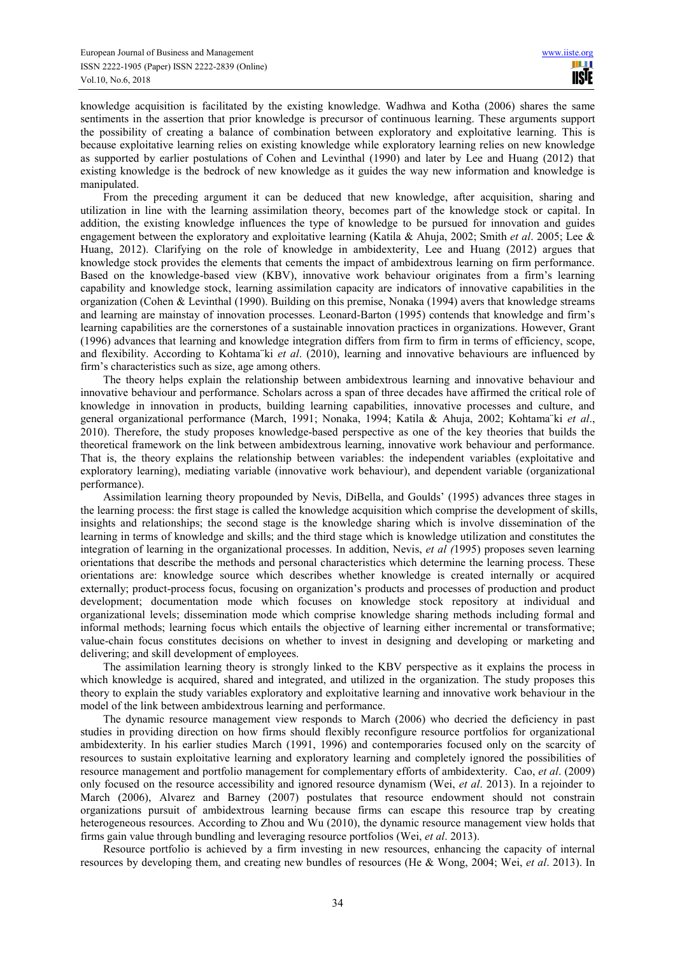knowledge acquisition is facilitated by the existing knowledge. Wadhwa and Kotha (2006) shares the same sentiments in the assertion that prior knowledge is precursor of continuous learning. These arguments support the possibility of creating a balance of combination between exploratory and exploitative learning. This is because exploitative learning relies on existing knowledge while exploratory learning relies on new knowledge as supported by earlier postulations of Cohen and Levinthal (1990) and later by Lee and Huang (2012) that existing knowledge is the bedrock of new knowledge as it guides the way new information and knowledge is manipulated.

From the preceding argument it can be deduced that new knowledge, after acquisition, sharing and utilization in line with the learning assimilation theory, becomes part of the knowledge stock or capital. In addition, the existing knowledge influences the type of knowledge to be pursued for innovation and guides engagement between the exploratory and exploitative learning (Katila & Ahuja, 2002; Smith *et al*. 2005; Lee & Huang, 2012). Clarifying on the role of knowledge in ambidexterity, Lee and Huang (2012) argues that knowledge stock provides the elements that cements the impact of ambidextrous learning on firm performance. Based on the knowledge-based view (KBV), innovative work behaviour originates from a firm's learning capability and knowledge stock, learning assimilation capacity are indicators of innovative capabilities in the organization (Cohen & Levinthal (1990). Building on this premise, Nonaka (1994) avers that knowledge streams and learning are mainstay of innovation processes. Leonard-Barton (1995) contends that knowledge and firm's learning capabilities are the cornerstones of a sustainable innovation practices in organizations. However, Grant (1996) advances that learning and knowledge integration differs from firm to firm in terms of efficiency, scope, and flexibility. According to Kohtama¨ki *et al*. (2010), learning and innovative behaviours are influenced by firm's characteristics such as size, age among others.

The theory helps explain the relationship between ambidextrous learning and innovative behaviour and innovative behaviour and performance. Scholars across a span of three decades have affirmed the critical role of knowledge in innovation in products, building learning capabilities, innovative processes and culture, and general organizational performance (March, 1991; Nonaka, 1994; Katila & Ahuja, 2002; Kohtama¨ki *et al*., 2010). Therefore, the study proposes knowledge-based perspective as one of the key theories that builds the theoretical framework on the link between ambidextrous learning, innovative work behaviour and performance. That is, the theory explains the relationship between variables: the independent variables (exploitative and exploratory learning), mediating variable (innovative work behaviour), and dependent variable (organizational performance).

Assimilation learning theory propounded by Nevis, DiBella, and Goulds' (1995) advances three stages in the learning process: the first stage is called the knowledge acquisition which comprise the development of skills, insights and relationships; the second stage is the knowledge sharing which is involve dissemination of the learning in terms of knowledge and skills; and the third stage which is knowledge utilization and constitutes the integration of learning in the organizational processes. In addition, Nevis, *et al (*1995) proposes seven learning orientations that describe the methods and personal characteristics which determine the learning process. These orientations are: knowledge source which describes whether knowledge is created internally or acquired externally; product-process focus, focusing on organization's products and processes of production and product development; documentation mode which focuses on knowledge stock repository at individual and organizational levels; dissemination mode which comprise knowledge sharing methods including formal and informal methods; learning focus which entails the objective of learning either incremental or transformative; value-chain focus constitutes decisions on whether to invest in designing and developing or marketing and delivering; and skill development of employees.

The assimilation learning theory is strongly linked to the KBV perspective as it explains the process in which knowledge is acquired, shared and integrated, and utilized in the organization. The study proposes this theory to explain the study variables exploratory and exploitative learning and innovative work behaviour in the model of the link between ambidextrous learning and performance.

The dynamic resource management view responds to March (2006) who decried the deficiency in past studies in providing direction on how firms should flexibly reconfigure resource portfolios for organizational ambidexterity. In his earlier studies March (1991, 1996) and contemporaries focused only on the scarcity of resources to sustain exploitative learning and exploratory learning and completely ignored the possibilities of resource management and portfolio management for complementary efforts of ambidexterity. Cao, *et al*. (2009) only focused on the resource accessibility and ignored resource dynamism (Wei, *et al*. 2013). In a rejoinder to March (2006), Alvarez and Barney (2007) postulates that resource endowment should not constrain organizations pursuit of ambidextrous learning because firms can escape this resource trap by creating heterogeneous resources. According to Zhou and Wu (2010), the dynamic resource management view holds that firms gain value through bundling and leveraging resource portfolios (Wei, *et al*. 2013).

Resource portfolio is achieved by a firm investing in new resources, enhancing the capacity of internal resources by developing them, and creating new bundles of resources (He & Wong, 2004; Wei, *et al*. 2013). In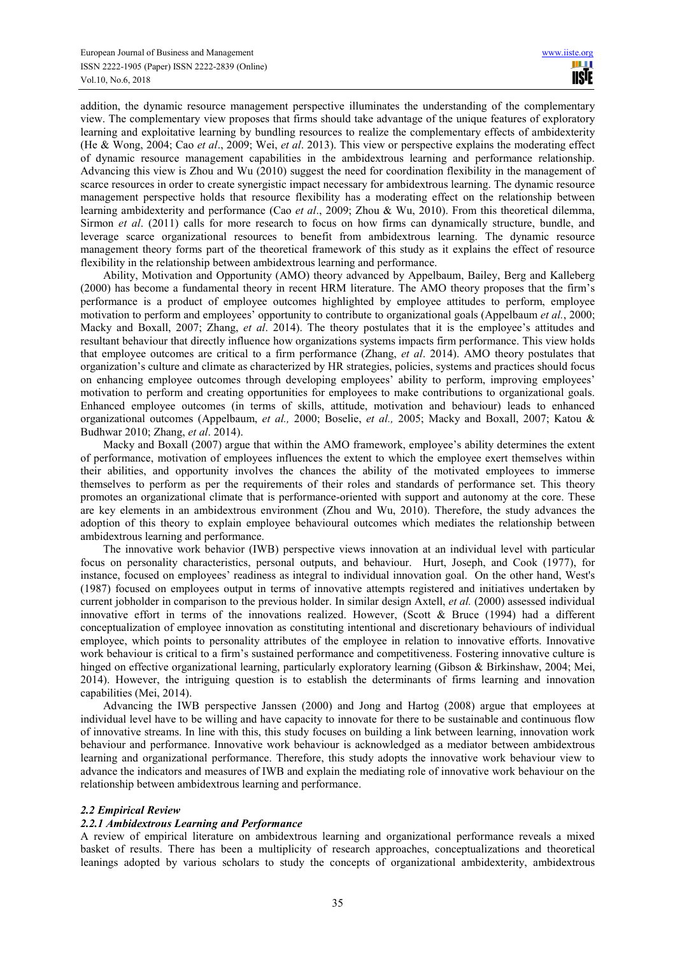addition, the dynamic resource management perspective illuminates the understanding of the complementary view. The complementary view proposes that firms should take advantage of the unique features of exploratory learning and exploitative learning by bundling resources to realize the complementary effects of ambidexterity (He & Wong, 2004; Cao *et al*., 2009; Wei, *et al*. 2013). This view or perspective explains the moderating effect of dynamic resource management capabilities in the ambidextrous learning and performance relationship. Advancing this view is Zhou and Wu (2010) suggest the need for coordination flexibility in the management of scarce resources in order to create synergistic impact necessary for ambidextrous learning. The dynamic resource management perspective holds that resource flexibility has a moderating effect on the relationship between learning ambidexterity and performance (Cao *et al*., 2009; Zhou & Wu, 2010). From this theoretical dilemma, Sirmon *et al*. (2011) calls for more research to focus on how firms can dynamically structure, bundle, and leverage scarce organizational resources to benefit from ambidextrous learning. The dynamic resource management theory forms part of the theoretical framework of this study as it explains the effect of resource flexibility in the relationship between ambidextrous learning and performance.

Ability, Motivation and Opportunity (AMO) theory advanced by Appelbaum, Bailey, Berg and Kalleberg (2000) has become a fundamental theory in recent HRM literature. The AMO theory proposes that the firm's performance is a product of employee outcomes highlighted by employee attitudes to perform, employee motivation to perform and employees' opportunity to contribute to organizational goals (Appelbaum *et al.*, 2000; Macky and Boxall, 2007; Zhang, *et al*. 2014). The theory postulates that it is the employee's attitudes and resultant behaviour that directly influence how organizations systems impacts firm performance. This view holds that employee outcomes are critical to a firm performance (Zhang, *et al*. 2014). AMO theory postulates that organization's culture and climate as characterized by HR strategies, policies, systems and practices should focus on enhancing employee outcomes through developing employees' ability to perform, improving employees' motivation to perform and creating opportunities for employees to make contributions to organizational goals. Enhanced employee outcomes (in terms of skills, attitude, motivation and behaviour) leads to enhanced organizational outcomes (Appelbaum, *et al.,* 2000; Boselie, *et al.,* 2005; Macky and Boxall, 2007; Katou & Budhwar 2010; Zhang, *et al*. 2014).

Macky and Boxall (2007) argue that within the AMO framework, employee's ability determines the extent of performance, motivation of employees influences the extent to which the employee exert themselves within their abilities, and opportunity involves the chances the ability of the motivated employees to immerse themselves to perform as per the requirements of their roles and standards of performance set. This theory promotes an organizational climate that is performance-oriented with support and autonomy at the core. These are key elements in an ambidextrous environment (Zhou and Wu, 2010). Therefore, the study advances the adoption of this theory to explain employee behavioural outcomes which mediates the relationship between ambidextrous learning and performance.

The innovative work behavior (IWB) perspective views innovation at an individual level with particular focus on personality characteristics, personal outputs, and behaviour. Hurt, Joseph, and Cook (1977), for instance, focused on employees' readiness as integral to individual innovation goal. On the other hand, West's (1987) focused on employees output in terms of innovative attempts registered and initiatives undertaken by current jobholder in comparison to the previous holder. In similar design Axtell, *et al.* (2000) assessed individual innovative effort in terms of the innovations realized. However, (Scott & Bruce (1994) had a different conceptualization of employee innovation as constituting intentional and discretionary behaviours of individual employee, which points to personality attributes of the employee in relation to innovative efforts. Innovative work behaviour is critical to a firm's sustained performance and competitiveness. Fostering innovative culture is hinged on effective organizational learning, particularly exploratory learning (Gibson & Birkinshaw, 2004; Mei, 2014). However, the intriguing question is to establish the determinants of firms learning and innovation capabilities (Mei, 2014).

Advancing the IWB perspective Janssen (2000) and Jong and Hartog (2008) argue that employees at individual level have to be willing and have capacity to innovate for there to be sustainable and continuous flow of innovative streams. In line with this, this study focuses on building a link between learning, innovation work behaviour and performance. Innovative work behaviour is acknowledged as a mediator between ambidextrous learning and organizational performance. Therefore, this study adopts the innovative work behaviour view to advance the indicators and measures of IWB and explain the mediating role of innovative work behaviour on the relationship between ambidextrous learning and performance.

# *2.2 Empirical Review*

# *2.2.1 Ambidextrous Learning and Performance*

A review of empirical literature on ambidextrous learning and organizational performance reveals a mixed basket of results. There has been a multiplicity of research approaches, conceptualizations and theoretical leanings adopted by various scholars to study the concepts of organizational ambidexterity, ambidextrous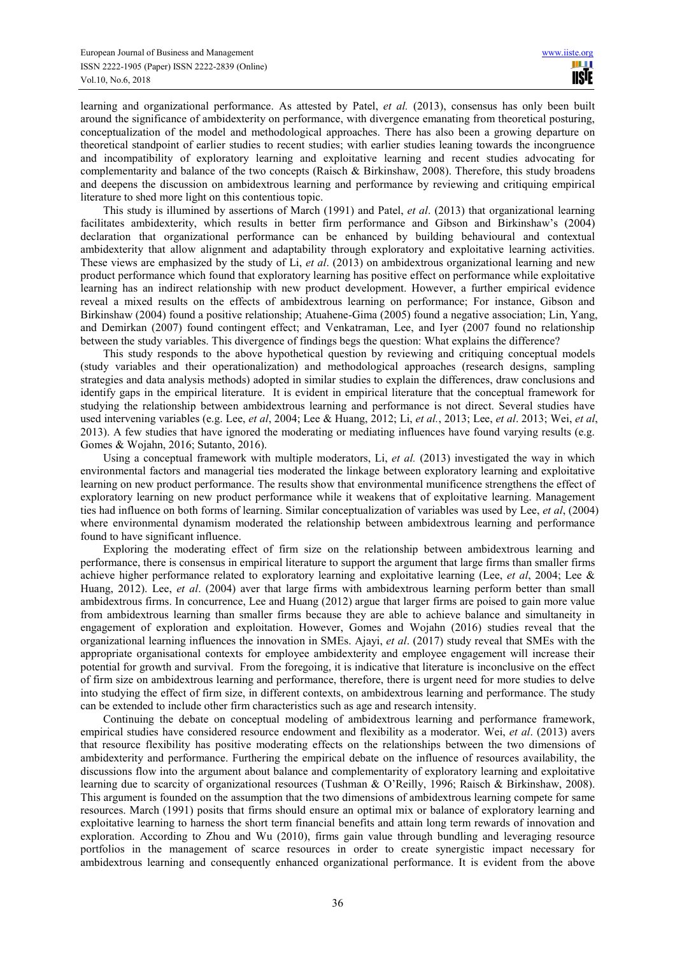learning and organizational performance. As attested by Patel, *et al.* (2013), consensus has only been built around the significance of ambidexterity on performance, with divergence emanating from theoretical posturing, conceptualization of the model and methodological approaches. There has also been a growing departure on theoretical standpoint of earlier studies to recent studies; with earlier studies leaning towards the incongruence and incompatibility of exploratory learning and exploitative learning and recent studies advocating for complementarity and balance of the two concepts (Raisch & Birkinshaw, 2008). Therefore, this study broadens and deepens the discussion on ambidextrous learning and performance by reviewing and critiquing empirical literature to shed more light on this contentious topic.

This study is illumined by assertions of March (1991) and Patel, *et al*. (2013) that organizational learning facilitates ambidexterity, which results in better firm performance and Gibson and Birkinshaw's (2004) declaration that organizational performance can be enhanced by building behavioural and contextual ambidexterity that allow alignment and adaptability through exploratory and exploitative learning activities. These views are emphasized by the study of Li, *et al*. (2013) on ambidextrous organizational learning and new product performance which found that exploratory learning has positive effect on performance while exploitative learning has an indirect relationship with new product development. However, a further empirical evidence reveal a mixed results on the effects of ambidextrous learning on performance; For instance, Gibson and Birkinshaw (2004) found a positive relationship; Atuahene-Gima (2005) found a negative association; Lin, Yang, and Demirkan (2007) found contingent effect; and Venkatraman, Lee, and Iyer (2007 found no relationship between the study variables. This divergence of findings begs the question: What explains the difference?

This study responds to the above hypothetical question by reviewing and critiquing conceptual models (study variables and their operationalization) and methodological approaches (research designs, sampling strategies and data analysis methods) adopted in similar studies to explain the differences, draw conclusions and identify gaps in the empirical literature. It is evident in empirical literature that the conceptual framework for studying the relationship between ambidextrous learning and performance is not direct. Several studies have used intervening variables (e.g. Lee, *et al*, 2004; Lee & Huang, 2012; Li, *et al.*, 2013; Lee, *et al*. 2013; Wei, *et al*, 2013). A few studies that have ignored the moderating or mediating influences have found varying results (e.g. Gomes & Wojahn, 2016; Sutanto, 2016).

Using a conceptual framework with multiple moderators, Li, *et al.* (2013) investigated the way in which environmental factors and managerial ties moderated the linkage between exploratory learning and exploitative learning on new product performance. The results show that environmental munificence strengthens the effect of exploratory learning on new product performance while it weakens that of exploitative learning. Management ties had influence on both forms of learning. Similar conceptualization of variables was used by Lee, *et al*, (2004) where environmental dynamism moderated the relationship between ambidextrous learning and performance found to have significant influence.

Exploring the moderating effect of firm size on the relationship between ambidextrous learning and performance, there is consensus in empirical literature to support the argument that large firms than smaller firms achieve higher performance related to exploratory learning and exploitative learning (Lee, *et al*, 2004; Lee & Huang, 2012). Lee, *et al*. (2004) aver that large firms with ambidextrous learning perform better than small ambidextrous firms. In concurrence, Lee and Huang (2012) argue that larger firms are poised to gain more value from ambidextrous learning than smaller firms because they are able to achieve balance and simultaneity in engagement of exploration and exploitation. However, Gomes and Wojahn (2016) studies reveal that the organizational learning influences the innovation in SMEs. Ajayi, *et al*. (2017) study reveal that SMEs with the appropriate organisational contexts for employee ambidexterity and employee engagement will increase their potential for growth and survival. From the foregoing, it is indicative that literature is inconclusive on the effect of firm size on ambidextrous learning and performance, therefore, there is urgent need for more studies to delve into studying the effect of firm size, in different contexts, on ambidextrous learning and performance. The study can be extended to include other firm characteristics such as age and research intensity.

Continuing the debate on conceptual modeling of ambidextrous learning and performance framework, empirical studies have considered resource endowment and flexibility as a moderator. Wei, *et al*. (2013) avers that resource flexibility has positive moderating effects on the relationships between the two dimensions of ambidexterity and performance. Furthering the empirical debate on the influence of resources availability, the discussions flow into the argument about balance and complementarity of exploratory learning and exploitative learning due to scarcity of organizational resources (Tushman & O'Reilly, 1996; Raisch & Birkinshaw, 2008). This argument is founded on the assumption that the two dimensions of ambidextrous learning compete for same resources. March (1991) posits that firms should ensure an optimal mix or balance of exploratory learning and exploitative learning to harness the short term financial benefits and attain long term rewards of innovation and exploration. According to Zhou and Wu (2010), firms gain value through bundling and leveraging resource portfolios in the management of scarce resources in order to create synergistic impact necessary for ambidextrous learning and consequently enhanced organizational performance. It is evident from the above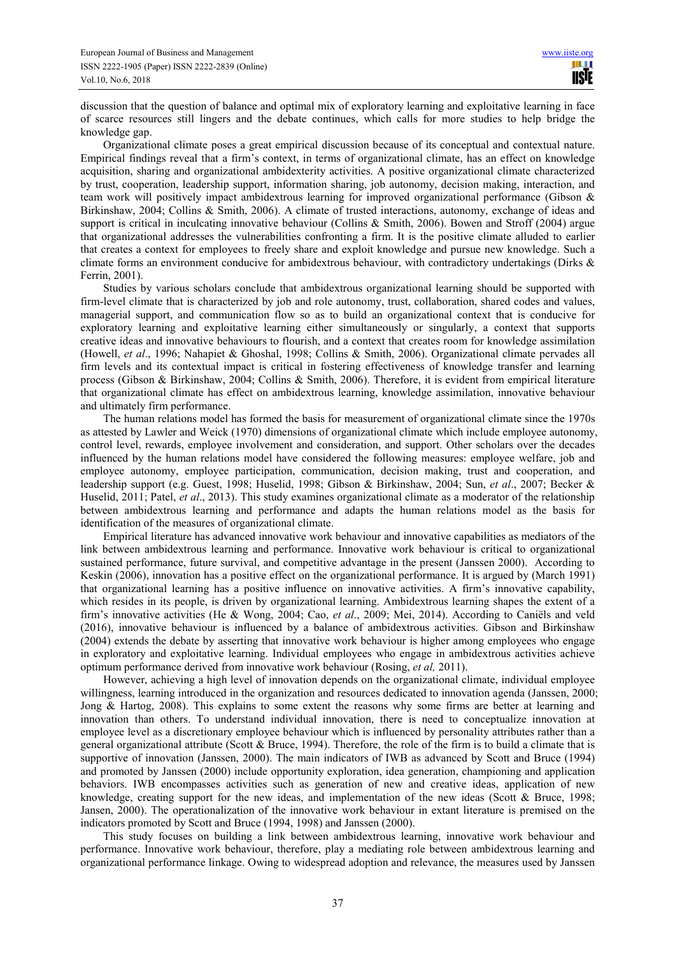discussion that the question of balance and optimal mix of exploratory learning and exploitative learning in face of scarce resources still lingers and the debate continues, which calls for more studies to help bridge the knowledge gap.

Organizational climate poses a great empirical discussion because of its conceptual and contextual nature. Empirical findings reveal that a firm's context, in terms of organizational climate, has an effect on knowledge acquisition, sharing and organizational ambidexterity activities. A positive organizational climate characterized by trust, cooperation, leadership support, information sharing, job autonomy, decision making, interaction, and team work will positively impact ambidextrous learning for improved organizational performance (Gibson & Birkinshaw, 2004; Collins & Smith, 2006). A climate of trusted interactions, autonomy, exchange of ideas and support is critical in inculcating innovative behaviour (Collins & Smith, 2006). Bowen and Stroff (2004) argue that organizational addresses the vulnerabilities confronting a firm. It is the positive climate alluded to earlier that creates a context for employees to freely share and exploit knowledge and pursue new knowledge. Such a climate forms an environment conducive for ambidextrous behaviour, with contradictory undertakings (Dirks & Ferrin, 2001).

Studies by various scholars conclude that ambidextrous organizational learning should be supported with firm-level climate that is characterized by job and role autonomy, trust, collaboration, shared codes and values, managerial support, and communication flow so as to build an organizational context that is conducive for exploratory learning and exploitative learning either simultaneously or singularly, a context that supports creative ideas and innovative behaviours to flourish, and a context that creates room for knowledge assimilation (Howell, *et al*., 1996; Nahapiet & Ghoshal, 1998; Collins & Smith, 2006). Organizational climate pervades all firm levels and its contextual impact is critical in fostering effectiveness of knowledge transfer and learning process (Gibson & Birkinshaw, 2004; Collins & Smith, 2006). Therefore, it is evident from empirical literature that organizational climate has effect on ambidextrous learning, knowledge assimilation, innovative behaviour and ultimately firm performance.

The human relations model has formed the basis for measurement of organizational climate since the 1970s as attested by Lawler and Weick (1970) dimensions of organizational climate which include employee autonomy, control level, rewards, employee involvement and consideration, and support. Other scholars over the decades influenced by the human relations model have considered the following measures: employee welfare, job and employee autonomy, employee participation, communication, decision making, trust and cooperation, and leadership support (e.g. Guest, 1998; Huselid, 1998; Gibson & Birkinshaw, 2004; Sun, *et al*., 2007; Becker & Huselid, 2011; Patel, *et al*., 2013). This study examines organizational climate as a moderator of the relationship between ambidextrous learning and performance and adapts the human relations model as the basis for identification of the measures of organizational climate.

Empirical literature has advanced innovative work behaviour and innovative capabilities as mediators of the link between ambidextrous learning and performance. Innovative work behaviour is critical to organizational sustained performance, future survival, and competitive advantage in the present (Janssen 2000). According to Keskin (2006), innovation has a positive effect on the organizational performance. It is argued by (March 1991) that organizational learning has a positive influence on innovative activities. A firm's innovative capability, which resides in its people, is driven by organizational learning. Ambidextrous learning shapes the extent of a firm's innovative activities (He & Wong, 2004; Cao, *et al*., 2009; Mei, 2014). According to Caniëls and veld (2016), innovative behaviour is influenced by a balance of ambidextrous activities. Gibson and Birkinshaw (2004) extends the debate by asserting that innovative work behaviour is higher among employees who engage in exploratory and exploitative learning. Individual employees who engage in ambidextrous activities achieve optimum performance derived from innovative work behaviour (Rosing, *et al,* 2011).

However, achieving a high level of innovation depends on the organizational climate, individual employee willingness, learning introduced in the organization and resources dedicated to innovation agenda (Janssen, 2000; Jong & Hartog, 2008). This explains to some extent the reasons why some firms are better at learning and innovation than others. To understand individual innovation, there is need to conceptualize innovation at employee level as a discretionary employee behaviour which is influenced by personality attributes rather than a general organizational attribute (Scott & Bruce, 1994). Therefore, the role of the firm is to build a climate that is supportive of innovation (Janssen, 2000). The main indicators of IWB as advanced by Scott and Bruce (1994) and promoted by Janssen (2000) include opportunity exploration, idea generation, championing and application behaviors. IWB encompasses activities such as generation of new and creative ideas, application of new knowledge, creating support for the new ideas, and implementation of the new ideas (Scott & Bruce, 1998; Jansen, 2000). The operationalization of the innovative work behaviour in extant literature is premised on the indicators promoted by Scott and Bruce (1994, 1998) and Janssen (2000).

This study focuses on building a link between ambidextrous learning, innovative work behaviour and performance. Innovative work behaviour, therefore, play a mediating role between ambidextrous learning and organizational performance linkage. Owing to widespread adoption and relevance, the measures used by Janssen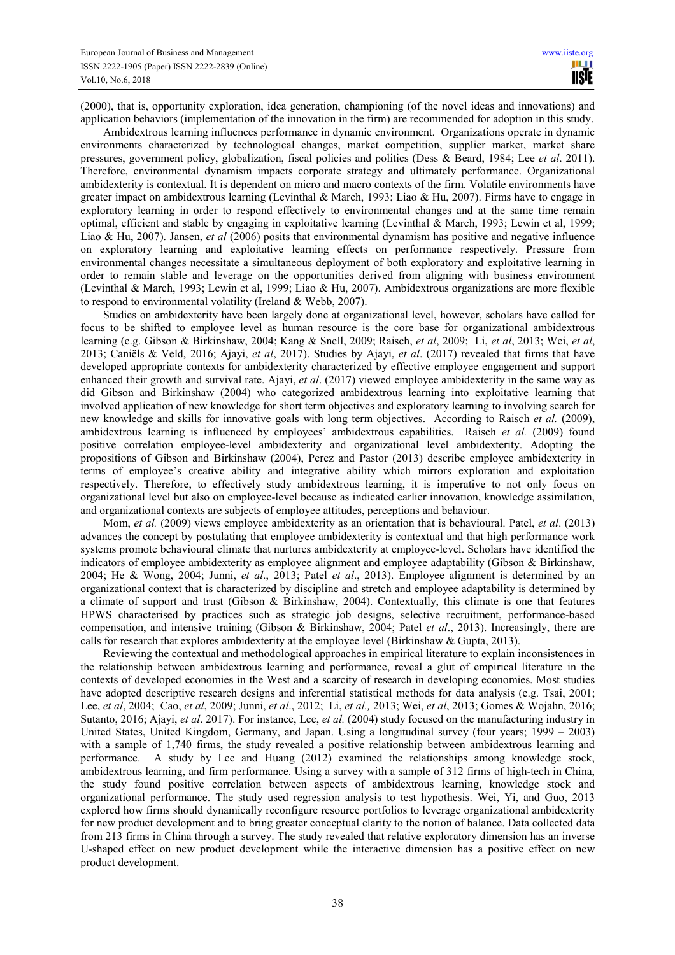(2000), that is, opportunity exploration, idea generation, championing (of the novel ideas and innovations) and application behaviors (implementation of the innovation in the firm) are recommended for adoption in this study.

Ambidextrous learning influences performance in dynamic environment. Organizations operate in dynamic environments characterized by technological changes, market competition, supplier market, market share pressures, government policy, globalization, fiscal policies and politics (Dess & Beard, 1984; Lee *et al*. 2011). Therefore, environmental dynamism impacts corporate strategy and ultimately performance. Organizational ambidexterity is contextual. It is dependent on micro and macro contexts of the firm. Volatile environments have greater impact on ambidextrous learning (Levinthal & March, 1993; Liao & Hu, 2007). Firms have to engage in exploratory learning in order to respond effectively to environmental changes and at the same time remain optimal, efficient and stable by engaging in exploitative learning (Levinthal & March, 1993; Lewin et al, 1999; Liao & Hu, 2007). Jansen, *et al* (2006) posits that environmental dynamism has positive and negative influence on exploratory learning and exploitative learning effects on performance respectively. Pressure from environmental changes necessitate a simultaneous deployment of both exploratory and exploitative learning in order to remain stable and leverage on the opportunities derived from aligning with business environment (Levinthal & March, 1993; Lewin et al, 1999; Liao & Hu, 2007). Ambidextrous organizations are more flexible to respond to environmental volatility (Ireland & Webb, 2007).

Studies on ambidexterity have been largely done at organizational level, however, scholars have called for focus to be shifted to employee level as human resource is the core base for organizational ambidextrous learning (e.g. Gibson & Birkinshaw, 2004; Kang & Snell, 2009; Raisch, *et al*, 2009; Li, *et al*, 2013; Wei, *et al*, 2013; Caniëls & Veld, 2016; Ajayi, *et al*, 2017). Studies by Ajayi, *et al*. (2017) revealed that firms that have developed appropriate contexts for ambidexterity characterized by effective employee engagement and support enhanced their growth and survival rate. Ajayi, *et al*. (2017) viewed employee ambidexterity in the same way as did Gibson and Birkinshaw (2004) who categorized ambidextrous learning into exploitative learning that involved application of new knowledge for short term objectives and exploratory learning to involving search for new knowledge and skills for innovative goals with long term objectives. According to Raisch *et al.* (2009), ambidextrous learning is influenced by employees' ambidextrous capabilities. Raisch *et al.* (2009) found positive correlation employee-level ambidexterity and organizational level ambidexterity. Adopting the propositions of Gibson and Birkinshaw (2004), Perez and Pastor (2013) describe employee ambidexterity in terms of employee's creative ability and integrative ability which mirrors exploration and exploitation respectively. Therefore, to effectively study ambidextrous learning, it is imperative to not only focus on organizational level but also on employee-level because as indicated earlier innovation, knowledge assimilation, and organizational contexts are subjects of employee attitudes, perceptions and behaviour.

Mom, *et al.* (2009) views employee ambidexterity as an orientation that is behavioural. Patel, *et al*. (2013) advances the concept by postulating that employee ambidexterity is contextual and that high performance work systems promote behavioural climate that nurtures ambidexterity at employee-level. Scholars have identified the indicators of employee ambidexterity as employee alignment and employee adaptability (Gibson & Birkinshaw, 2004; He & Wong, 2004; Junni, *et al*., 2013; Patel *et al*., 2013). Employee alignment is determined by an organizational context that is characterized by discipline and stretch and employee adaptability is determined by a climate of support and trust (Gibson & Birkinshaw, 2004). Contextually, this climate is one that features HPWS characterised by practices such as strategic job designs, selective recruitment, performance-based compensation, and intensive training (Gibson & Birkinshaw, 2004; Patel *et al*., 2013). Increasingly, there are calls for research that explores ambidexterity at the employee level (Birkinshaw & Gupta, 2013).

Reviewing the contextual and methodological approaches in empirical literature to explain inconsistences in the relationship between ambidextrous learning and performance, reveal a glut of empirical literature in the contexts of developed economies in the West and a scarcity of research in developing economies. Most studies have adopted descriptive research designs and inferential statistical methods for data analysis (e.g. Tsai, 2001; Lee, *et al*, 2004; Cao, *et al*, 2009; Junni, *et al*., 2012; Li, *et al.,* 2013; Wei, *et al*, 2013; Gomes & Wojahn, 2016; Sutanto, 2016; Ajayi, *et al*. 2017). For instance, Lee, *et al.* (2004) study focused on the manufacturing industry in United States, United Kingdom, Germany, and Japan. Using a longitudinal survey (four years; 1999 – 2003) with a sample of 1,740 firms, the study revealed a positive relationship between ambidextrous learning and performance. A study by Lee and Huang (2012) examined the relationships among knowledge stock, ambidextrous learning, and firm performance. Using a survey with a sample of 312 firms of high-tech in China, the study found positive correlation between aspects of ambidextrous learning, knowledge stock and organizational performance. The study used regression analysis to test hypothesis. Wei, Yi, and Guo, 2013 explored how firms should dynamically reconfigure resource portfolios to leverage organizational ambidexterity for new product development and to bring greater conceptual clarity to the notion of balance. Data collected data from 213 firms in China through a survey. The study revealed that relative exploratory dimension has an inverse U-shaped effect on new product development while the interactive dimension has a positive effect on new product development.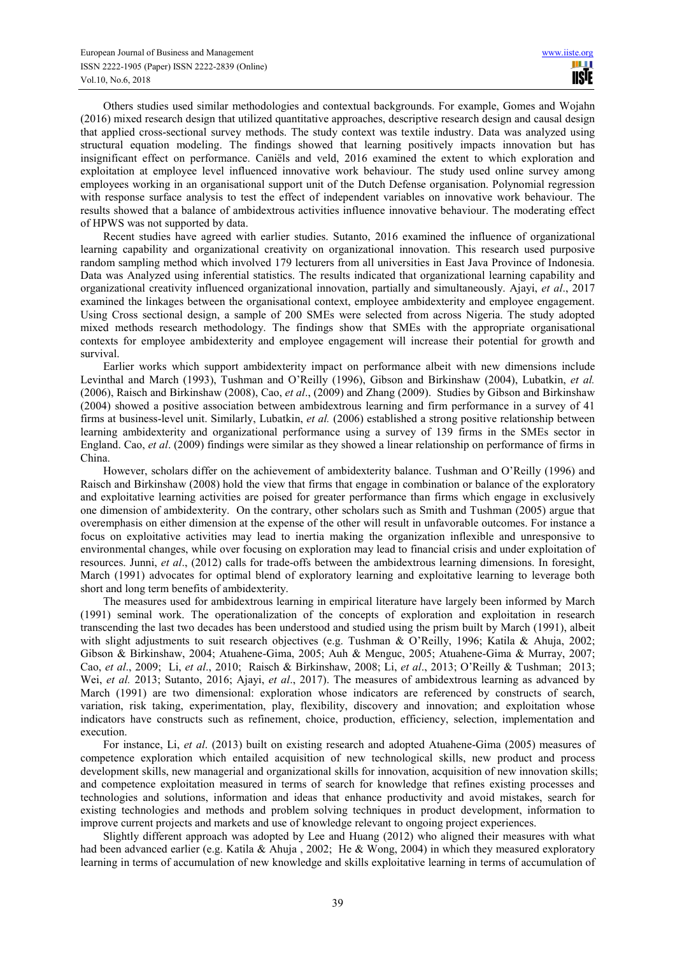Others studies used similar methodologies and contextual backgrounds. For example, Gomes and Wojahn (2016) mixed research design that utilized quantitative approaches, descriptive research design and causal design that applied cross-sectional survey methods. The study context was textile industry. Data was analyzed using structural equation modeling. The findings showed that learning positively impacts innovation but has insignificant effect on performance. Caniëls and veld, 2016 examined the extent to which exploration and exploitation at employee level influenced innovative work behaviour. The study used online survey among employees working in an organisational support unit of the Dutch Defense organisation. Polynomial regression with response surface analysis to test the effect of independent variables on innovative work behaviour. The results showed that a balance of ambidextrous activities influence innovative behaviour. The moderating effect of HPWS was not supported by data.

Recent studies have agreed with earlier studies. Sutanto, 2016 examined the influence of organizational learning capability and organizational creativity on organizational innovation. This research used purposive random sampling method which involved 179 lecturers from all universities in East Java Province of Indonesia. Data was Analyzed using inferential statistics. The results indicated that organizational learning capability and organizational creativity influenced organizational innovation, partially and simultaneously. Ajayi, *et al*., 2017 examined the linkages between the organisational context, employee ambidexterity and employee engagement. Using Cross sectional design, a sample of 200 SMEs were selected from across Nigeria. The study adopted mixed methods research methodology. The findings show that SMEs with the appropriate organisational contexts for employee ambidexterity and employee engagement will increase their potential for growth and survival.

Earlier works which support ambidexterity impact on performance albeit with new dimensions include Levinthal and March (1993), Tushman and O'Reilly (1996), Gibson and Birkinshaw (2004), Lubatkin, *et al.* (2006), Raisch and Birkinshaw (2008), Cao, *et al*., (2009) and Zhang (2009). Studies by Gibson and Birkinshaw (2004) showed a positive association between ambidextrous learning and firm performance in a survey of 41 firms at business-level unit. Similarly, Lubatkin, *et al.* (2006) established a strong positive relationship between learning ambidexterity and organizational performance using a survey of 139 firms in the SMEs sector in England. Cao, *et al*. (2009) findings were similar as they showed a linear relationship on performance of firms in China.

However, scholars differ on the achievement of ambidexterity balance. Tushman and O'Reilly (1996) and Raisch and Birkinshaw (2008) hold the view that firms that engage in combination or balance of the exploratory and exploitative learning activities are poised for greater performance than firms which engage in exclusively one dimension of ambidexterity. On the contrary, other scholars such as Smith and Tushman (2005) argue that overemphasis on either dimension at the expense of the other will result in unfavorable outcomes. For instance a focus on exploitative activities may lead to inertia making the organization inflexible and unresponsive to environmental changes, while over focusing on exploration may lead to financial crisis and under exploitation of resources. Junni, *et al*., (2012) calls for trade-offs between the ambidextrous learning dimensions. In foresight, March (1991) advocates for optimal blend of exploratory learning and exploitative learning to leverage both short and long term benefits of ambidexterity.

The measures used for ambidextrous learning in empirical literature have largely been informed by March (1991) seminal work. The operationalization of the concepts of exploration and exploitation in research transcending the last two decades has been understood and studied using the prism built by March (1991), albeit with slight adjustments to suit research objectives (e.g. Tushman & O'Reilly, 1996; Katila & Ahuja, 2002; Gibson & Birkinshaw, 2004; Atuahene-Gima, 2005; Auh & Menguc, 2005; Atuahene-Gima & Murray, 2007; Cao, *et al*., 2009; Li, *et al*., 2010; Raisch & Birkinshaw, 2008; Li, *et al*., 2013; O'Reilly & Tushman; 2013; Wei, *et al.* 2013; Sutanto, 2016; Ajayi, *et al*., 2017). The measures of ambidextrous learning as advanced by March (1991) are two dimensional: exploration whose indicators are referenced by constructs of search, variation, risk taking, experimentation, play, flexibility, discovery and innovation; and exploitation whose indicators have constructs such as refinement, choice, production, efficiency, selection, implementation and execution.

For instance, Li, *et al*. (2013) built on existing research and adopted Atuahene-Gima (2005) measures of competence exploration which entailed acquisition of new technological skills, new product and process development skills, new managerial and organizational skills for innovation, acquisition of new innovation skills; and competence exploitation measured in terms of search for knowledge that refines existing processes and technologies and solutions, information and ideas that enhance productivity and avoid mistakes, search for existing technologies and methods and problem solving techniques in product development, information to improve current projects and markets and use of knowledge relevant to ongoing project experiences.

Slightly different approach was adopted by Lee and Huang (2012) who aligned their measures with what had been advanced earlier (e.g. Katila & Ahuja, 2002; He & Wong, 2004) in which they measured exploratory learning in terms of accumulation of new knowledge and skills exploitative learning in terms of accumulation of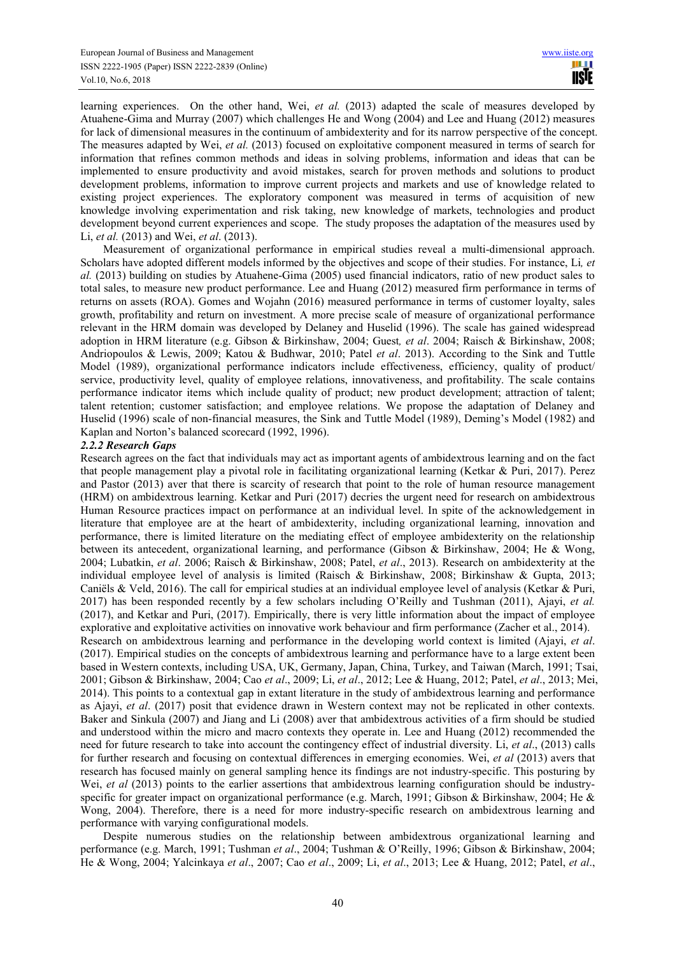learning experiences. On the other hand, Wei, *et al.* (2013) adapted the scale of measures developed by Atuahene-Gima and Murray (2007) which challenges He and Wong (2004) and Lee and Huang (2012) measures for lack of dimensional measures in the continuum of ambidexterity and for its narrow perspective of the concept. The measures adapted by Wei, *et al.* (2013) focused on exploitative component measured in terms of search for information that refines common methods and ideas in solving problems, information and ideas that can be implemented to ensure productivity and avoid mistakes, search for proven methods and solutions to product development problems, information to improve current projects and markets and use of knowledge related to existing project experiences. The exploratory component was measured in terms of acquisition of new knowledge involving experimentation and risk taking, new knowledge of markets, technologies and product development beyond current experiences and scope. The study proposes the adaptation of the measures used by Li, *et al.* (2013) and Wei, *et al*. (2013).

Measurement of organizational performance in empirical studies reveal a multi-dimensional approach. Scholars have adopted different models informed by the objectives and scope of their studies. For instance, Li*, et al.* (2013) building on studies by Atuahene-Gima (2005) used financial indicators, ratio of new product sales to total sales, to measure new product performance. Lee and Huang (2012) measured firm performance in terms of returns on assets (ROA). Gomes and Wojahn (2016) measured performance in terms of customer loyalty, sales growth, profitability and return on investment. A more precise scale of measure of organizational performance relevant in the HRM domain was developed by Delaney and Huselid (1996). The scale has gained widespread adoption in HRM literature (e.g. Gibson & Birkinshaw, 2004; Guest*, et al*. 2004; Raisch & Birkinshaw, 2008; Andriopoulos & Lewis, 2009; Katou & Budhwar, 2010; Patel *et al*. 2013). According to the Sink and Tuttle Model (1989), organizational performance indicators include effectiveness, efficiency, quality of product/ service, productivity level, quality of employee relations, innovativeness, and profitability. The scale contains performance indicator items which include quality of product; new product development; attraction of talent; talent retention; customer satisfaction; and employee relations. We propose the adaptation of Delaney and Huselid (1996) scale of non-financial measures, the Sink and Tuttle Model (1989), Deming's Model (1982) and Kaplan and Norton's balanced scorecard (1992, 1996).

### *2.2.2 Research Gaps*

Research agrees on the fact that individuals may act as important agents of ambidextrous learning and on the fact that people management play a pivotal role in facilitating organizational learning (Ketkar & Puri, 2017). Perez and Pastor (2013) aver that there is scarcity of research that point to the role of human resource management (HRM) on ambidextrous learning. Ketkar and Puri (2017) decries the urgent need for research on ambidextrous Human Resource practices impact on performance at an individual level. In spite of the acknowledgement in literature that employee are at the heart of ambidexterity, including organizational learning, innovation and performance, there is limited literature on the mediating effect of employee ambidexterity on the relationship between its antecedent, organizational learning, and performance (Gibson & Birkinshaw, 2004; He & Wong, 2004; Lubatkin, *et al*. 2006; Raisch & Birkinshaw, 2008; Patel, *et al*., 2013). Research on ambidexterity at the individual employee level of analysis is limited (Raisch & Birkinshaw, 2008; Birkinshaw & Gupta, 2013; Caniëls & Veld, 2016). The call for empirical studies at an individual employee level of analysis (Ketkar & Puri, 2017) has been responded recently by a few scholars including O'Reilly and Tushman (2011), Ajayi, *et al.* (2017), and Ketkar and Puri, (2017). Empirically, there is very little information about the impact of employee explorative and exploitative activities on innovative work behaviour and firm performance (Zacher et al., 2014). Research on ambidextrous learning and performance in the developing world context is limited (Ajayi, *et al*. (2017). Empirical studies on the concepts of ambidextrous learning and performance have to a large extent been based in Western contexts, including USA, UK, Germany, Japan, China, Turkey, and Taiwan (March, 1991; Tsai, 2001; Gibson & Birkinshaw, 2004; Cao *et al*., 2009; Li, *et al*., 2012; Lee & Huang, 2012; Patel, *et al*., 2013; Mei, 2014). This points to a contextual gap in extant literature in the study of ambidextrous learning and performance as Ajayi, *et al*. (2017) posit that evidence drawn in Western context may not be replicated in other contexts. Baker and Sinkula (2007) and Jiang and Li (2008) aver that ambidextrous activities of a firm should be studied and understood within the micro and macro contexts they operate in. Lee and Huang (2012) recommended the need for future research to take into account the contingency effect of industrial diversity. Li, *et al*., (2013) calls for further research and focusing on contextual differences in emerging economies. Wei, *et al* (2013) avers that research has focused mainly on general sampling hence its findings are not industry-specific. This posturing by Wei, *et al* (2013) points to the earlier assertions that ambidextrous learning configuration should be industryspecific for greater impact on organizational performance (e.g. March, 1991; Gibson & Birkinshaw, 2004; He & Wong, 2004). Therefore, there is a need for more industry-specific research on ambidextrous learning and performance with varying configurational models.

Despite numerous studies on the relationship between ambidextrous organizational learning and performance (e.g. March, 1991; Tushman *et al*., 2004; Tushman & O'Reilly, 1996; Gibson & Birkinshaw, 2004; He & Wong, 2004; Yalcinkaya *et al*., 2007; Cao *et al*., 2009; Li, *et al*., 2013; Lee & Huang, 2012; Patel, *et al*.,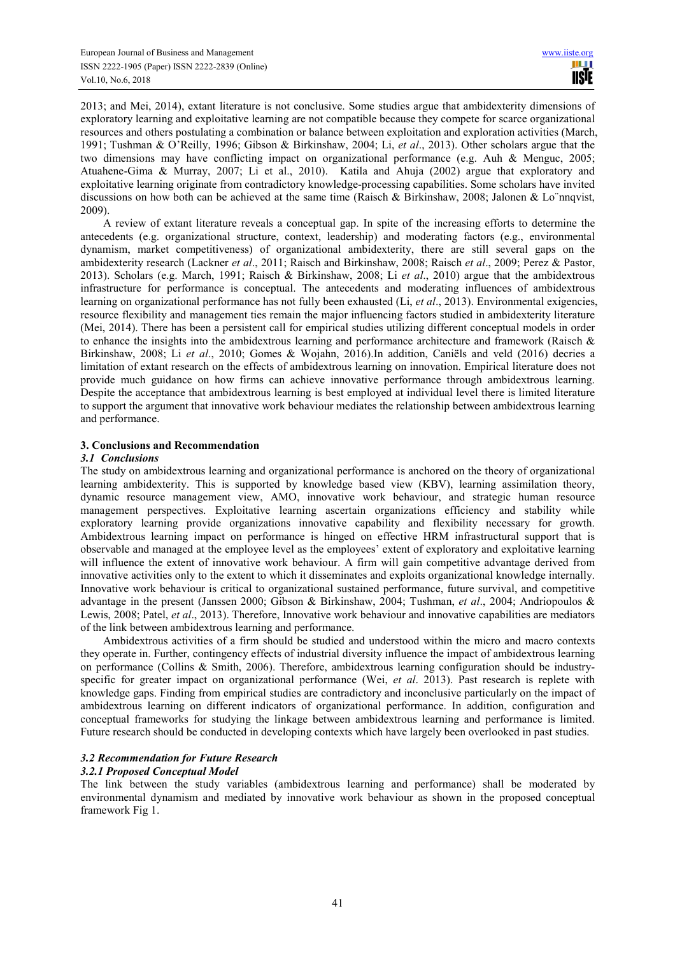2013; and Mei, 2014), extant literature is not conclusive. Some studies argue that ambidexterity dimensions of exploratory learning and exploitative learning are not compatible because they compete for scarce organizational resources and others postulating a combination or balance between exploitation and exploration activities (March, 1991; Tushman & O'Reilly, 1996; Gibson & Birkinshaw, 2004; Li, *et al*., 2013). Other scholars argue that the two dimensions may have conflicting impact on organizational performance (e.g. Auh & Menguc, 2005; Atuahene-Gima & Murray, 2007; Li et al., 2010). Katila and Ahuja (2002) argue that exploratory and exploitative learning originate from contradictory knowledge-processing capabilities. Some scholars have invited discussions on how both can be achieved at the same time (Raisch & Birkinshaw, 2008; Jalonen & Lo¨nnqvist, 2009).

A review of extant literature reveals a conceptual gap. In spite of the increasing efforts to determine the antecedents (e.g. organizational structure, context, leadership) and moderating factors (e.g., environmental dynamism, market competitiveness) of organizational ambidexterity, there are still several gaps on the ambidexterity research (Lackner *et al*., 2011; Raisch and Birkinshaw, 2008; Raisch *et al*., 2009; Perez & Pastor, 2013). Scholars (e.g. March, 1991; Raisch & Birkinshaw, 2008; Li *et al*., 2010) argue that the ambidextrous infrastructure for performance is conceptual. The antecedents and moderating influences of ambidextrous learning on organizational performance has not fully been exhausted (Li, *et al*., 2013). Environmental exigencies, resource flexibility and management ties remain the major influencing factors studied in ambidexterity literature (Mei, 2014). There has been a persistent call for empirical studies utilizing different conceptual models in order to enhance the insights into the ambidextrous learning and performance architecture and framework (Raisch  $\&$ Birkinshaw, 2008; Li *et al*., 2010; Gomes & Wojahn, 2016).In addition, Caniëls and veld (2016) decries a limitation of extant research on the effects of ambidextrous learning on innovation. Empirical literature does not provide much guidance on how firms can achieve innovative performance through ambidextrous learning. Despite the acceptance that ambidextrous learning is best employed at individual level there is limited literature to support the argument that innovative work behaviour mediates the relationship between ambidextrous learning and performance.

# **3. Conclusions and Recommendation**

### *3.1 Conclusions*

The study on ambidextrous learning and organizational performance is anchored on the theory of organizational learning ambidexterity. This is supported by knowledge based view (KBV), learning assimilation theory, dynamic resource management view, AMO, innovative work behaviour, and strategic human resource management perspectives. Exploitative learning ascertain organizations efficiency and stability while exploratory learning provide organizations innovative capability and flexibility necessary for growth. Ambidextrous learning impact on performance is hinged on effective HRM infrastructural support that is observable and managed at the employee level as the employees' extent of exploratory and exploitative learning will influence the extent of innovative work behaviour. A firm will gain competitive advantage derived from innovative activities only to the extent to which it disseminates and exploits organizational knowledge internally. Innovative work behaviour is critical to organizational sustained performance, future survival, and competitive advantage in the present (Janssen 2000; Gibson & Birkinshaw, 2004; Tushman, *et al*., 2004; Andriopoulos & Lewis, 2008; Patel, *et al*., 2013). Therefore, Innovative work behaviour and innovative capabilities are mediators of the link between ambidextrous learning and performance.

Ambidextrous activities of a firm should be studied and understood within the micro and macro contexts they operate in. Further, contingency effects of industrial diversity influence the impact of ambidextrous learning on performance (Collins & Smith, 2006). Therefore, ambidextrous learning configuration should be industryspecific for greater impact on organizational performance (Wei, *et al*. 2013). Past research is replete with knowledge gaps. Finding from empirical studies are contradictory and inconclusive particularly on the impact of ambidextrous learning on different indicators of organizational performance. In addition, configuration and conceptual frameworks for studying the linkage between ambidextrous learning and performance is limited. Future research should be conducted in developing contexts which have largely been overlooked in past studies.

# *3.2 Recommendation for Future Research*

# *3.2.1 Proposed Conceptual Model*

The link between the study variables (ambidextrous learning and performance) shall be moderated by environmental dynamism and mediated by innovative work behaviour as shown in the proposed conceptual framework Fig 1.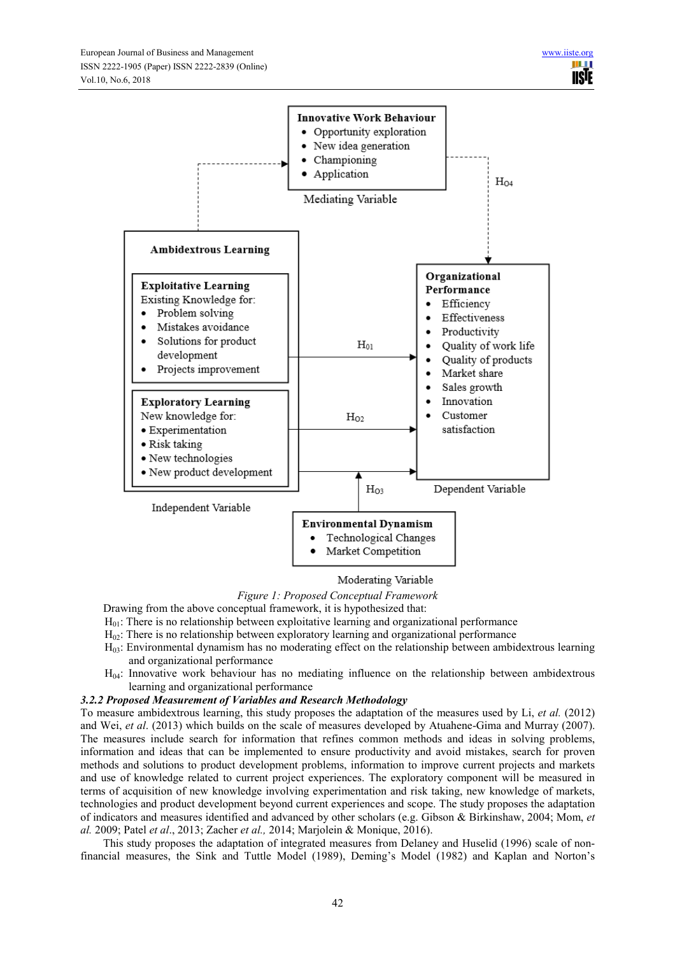

Moderating Variable

*Figure 1: Proposed Conceptual Framework* 

Drawing from the above conceptual framework, it is hypothesized that:

- $H<sub>01</sub>$ : There is no relationship between exploitative learning and organizational performance
- $H<sub>02</sub>$ : There is no relationship between exploratory learning and organizational performance
- H03: Environmental dynamism has no moderating effect on the relationship between ambidextrous learning and organizational performance
- H04: Innovative work behaviour has no mediating influence on the relationship between ambidextrous learning and organizational performance

# *3.2.2 Proposed Measurement of Variables and Research Methodology*

To measure ambidextrous learning, this study proposes the adaptation of the measures used by Li, *et al.* (2012) and Wei, *et al*. (2013) which builds on the scale of measures developed by Atuahene-Gima and Murray (2007). The measures include search for information that refines common methods and ideas in solving problems, information and ideas that can be implemented to ensure productivity and avoid mistakes, search for proven methods and solutions to product development problems, information to improve current projects and markets and use of knowledge related to current project experiences. The exploratory component will be measured in terms of acquisition of new knowledge involving experimentation and risk taking, new knowledge of markets, technologies and product development beyond current experiences and scope. The study proposes the adaptation of indicators and measures identified and advanced by other scholars (e.g. Gibson & Birkinshaw, 2004; Mom, *et al.* 2009; Patel *et al*., 2013; Zacher *et al.,* 2014; Marjolein & Monique, 2016).

This study proposes the adaptation of integrated measures from Delaney and Huselid (1996) scale of nonfinancial measures, the Sink and Tuttle Model (1989), Deming's Model (1982) and Kaplan and Norton's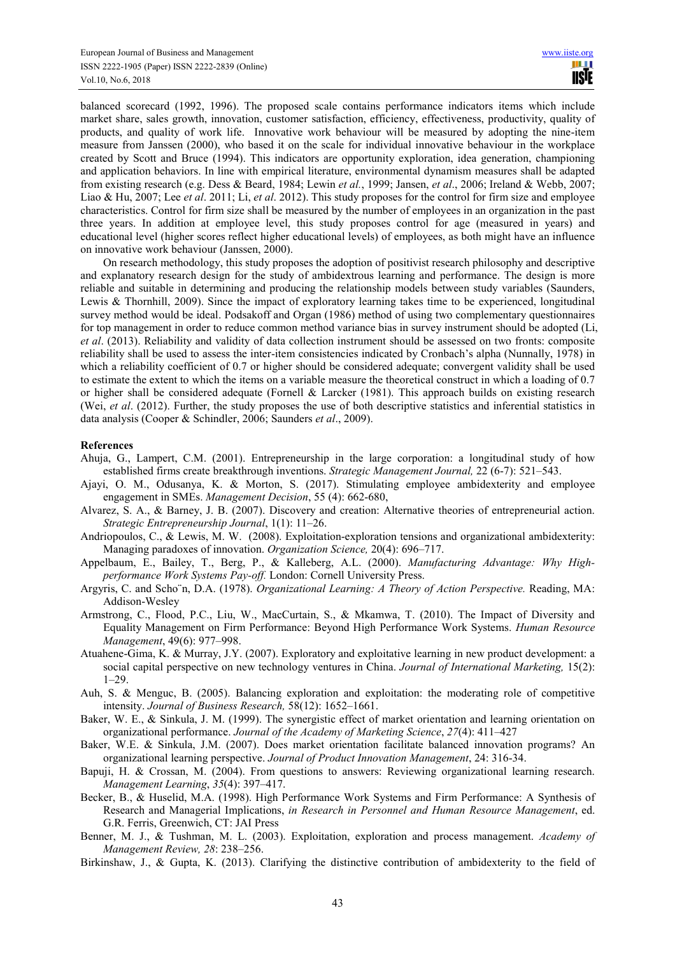balanced scorecard (1992, 1996). The proposed scale contains performance indicators items which include market share, sales growth, innovation, customer satisfaction, efficiency, effectiveness, productivity, quality of products, and quality of work life. Innovative work behaviour will be measured by adopting the nine-item measure from Janssen (2000), who based it on the scale for individual innovative behaviour in the workplace created by Scott and Bruce (1994). This indicators are opportunity exploration, idea generation, championing and application behaviors. In line with empirical literature, environmental dynamism measures shall be adapted from existing research (e.g. Dess & Beard, 1984; Lewin *et al.*, 1999; Jansen, *et al*., 2006; Ireland & Webb, 2007; Liao & Hu, 2007; Lee *et al*. 2011; Li, *et al*. 2012). This study proposes for the control for firm size and employee characteristics. Control for firm size shall be measured by the number of employees in an organization in the past three years. In addition at employee level, this study proposes control for age (measured in years) and educational level (higher scores reflect higher educational levels) of employees, as both might have an influence on innovative work behaviour (Janssen, 2000).

On research methodology, this study proposes the adoption of positivist research philosophy and descriptive and explanatory research design for the study of ambidextrous learning and performance. The design is more reliable and suitable in determining and producing the relationship models between study variables (Saunders, Lewis & Thornhill, 2009). Since the impact of exploratory learning takes time to be experienced, longitudinal survey method would be ideal. Podsakoff and Organ (1986) method of using two complementary questionnaires for top management in order to reduce common method variance bias in survey instrument should be adopted (Li, *et al*. (2013). Reliability and validity of data collection instrument should be assessed on two fronts: composite reliability shall be used to assess the inter-item consistencies indicated by Cronbach's alpha (Nunnally, 1978) in which a reliability coefficient of 0.7 or higher should be considered adequate; convergent validity shall be used to estimate the extent to which the items on a variable measure the theoretical construct in which a loading of 0.7 or higher shall be considered adequate (Fornell & Larcker (1981). This approach builds on existing research (Wei, *et al*. (2012). Further, the study proposes the use of both descriptive statistics and inferential statistics in data analysis (Cooper & Schindler, 2006; Saunders *et al*., 2009).

### **References**

- Ahuja, G., Lampert, C.M. (2001). Entrepreneurship in the large corporation: a longitudinal study of how established firms create breakthrough inventions. *Strategic Management Journal,* 22 (6-7): 521–543.
- Ajayi, O. M., Odusanya, K. & Morton, S. (2017). Stimulating employee ambidexterity and employee engagement in SMEs. *Management Decision*, 55 (4): 662-680,
- Alvarez, S. A., & Barney, J. B. (2007). Discovery and creation: Alternative theories of entrepreneurial action. *Strategic Entrepreneurship Journal*, 1(1): 11–26.
- Andriopoulos, C., & Lewis, M. W. (2008). Exploitation-exploration tensions and organizational ambidexterity: Managing paradoxes of innovation. *Organization Science,* 20(4): 696–717.
- Appelbaum, E., Bailey, T., Berg, P., & Kalleberg, A.L. (2000). *Manufacturing Advantage: Why Highperformance Work Systems Pay-off.* London: Cornell University Press.
- Argyris, C. and Scho¨n, D.A. (1978). *Organizational Learning: A Theory of Action Perspective.* Reading, MA: Addison-Wesley
- Armstrong, C., Flood, P.C., Liu, W., MacCurtain, S., & Mkamwa, T. (2010). The Impact of Diversity and Equality Management on Firm Performance: Beyond High Performance Work Systems. *Human Resource Management*, 49(6): 977–998.
- Atuahene-Gima, K. & Murray, J.Y. (2007). Exploratory and exploitative learning in new product development: a social capital perspective on new technology ventures in China. *Journal of International Marketing,* 15(2): 1–29.
- Auh, S. & Menguc, B. (2005). Balancing exploration and exploitation: the moderating role of competitive intensity. *Journal of Business Research,* 58(12): 1652–1661.
- Baker, W. E., & Sinkula, J. M. (1999). The synergistic effect of market orientation and learning orientation on organizational performance. *Journal of the Academy of Marketing Science*, *27*(4): 411–427
- Baker, W.E. & Sinkula, J.M. (2007). Does market orientation facilitate balanced innovation programs? An organizational learning perspective. *Journal of Product Innovation Management*, 24: 316-34.
- Bapuji, H. & Crossan, M. (2004). From questions to answers: Reviewing organizational learning research. *Management Learning*, *35*(4): 397–417.
- Becker, B., & Huselid, M.A. (1998). High Performance Work Systems and Firm Performance: A Synthesis of Research and Managerial Implications, *in Research in Personnel and Human Resource Management*, ed. G.R. Ferris, Greenwich, CT: JAI Press
- Benner, M. J., & Tushman, M. L. (2003). Exploitation, exploration and process management. *Academy of Management Review, 28*: 238–256.
- Birkinshaw, J., & Gupta, K. (2013). Clarifying the distinctive contribution of ambidexterity to the field of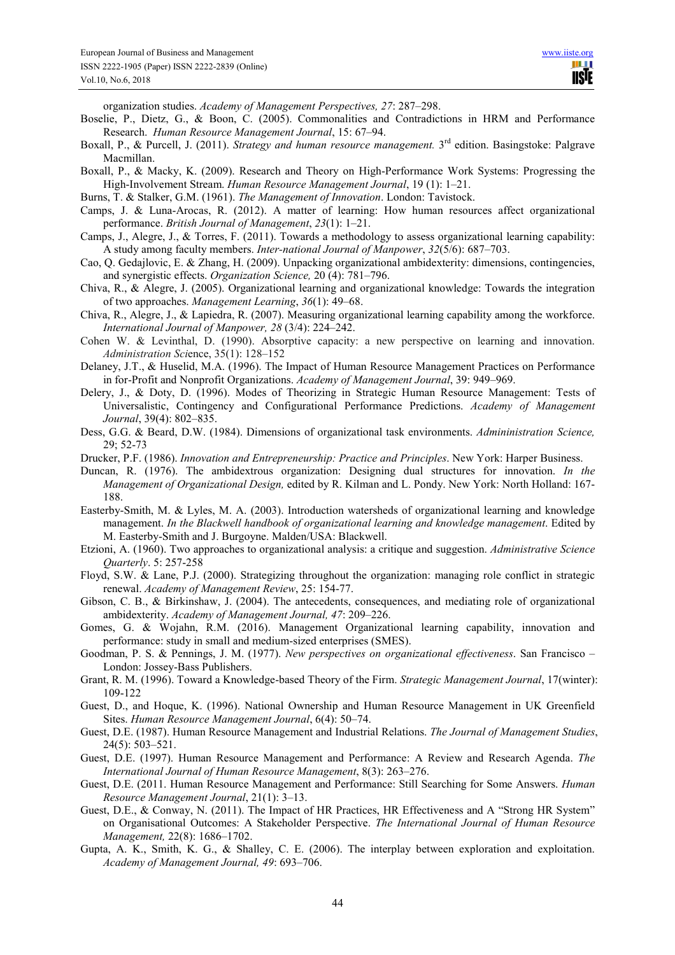organization studies. *Academy of Management Perspectives, 27*: 287–298.

- Boselie, P., Dietz, G., & Boon, C. (2005). Commonalities and Contradictions in HRM and Performance Research. *Human Resource Management Journal*, 15: 67–94.
- Boxall, P., & Purcell, J. (2011). *Strategy and human resource management*. 3<sup>rd</sup> edition. Basingstoke: Palgrave Macmillan.
- Boxall, P., & Macky, K. (2009). Research and Theory on High-Performance Work Systems: Progressing the High-Involvement Stream. *Human Resource Management Journal*, 19 (1): 1–21.
- Burns, T. & Stalker, G.M. (1961). *The Management of Innovation*. London: Tavistock.
- Camps, J. & Luna-Arocas, R. (2012). A matter of learning: How human resources affect organizational performance. *British Journal of Management*, *23*(1): 1–21.
- Camps, J., Alegre, J., & Torres, F. (2011). Towards a methodology to assess organizational learning capability: A study among faculty members. *Inter-national Journal of Manpower*, *32*(5/6): 687–703.
- Cao, Q. Gedajlovic, E. & Zhang, H. (2009). Unpacking organizational ambidexterity: dimensions, contingencies, and synergistic effects. *Organization Science,* 20 (4): 781–796.
- Chiva, R., & Alegre, J. (2005). Organizational learning and organizational knowledge: Towards the integration of two approaches. *Management Learning*, *36*(1): 49–68.
- Chiva, R., Alegre, J., & Lapiedra, R. (2007). Measuring organizational learning capability among the workforce. *International Journal of Manpower, 28* (3/4): 224–242.
- Cohen W. & Levinthal, D. (1990). Absorptive capacity: a new perspective on learning and innovation. *Administration Sci*ence, 35(1): 128–152
- Delaney, J.T., & Huselid, M.A. (1996). The Impact of Human Resource Management Practices on Performance in for-Profit and Nonprofit Organizations. *Academy of Management Journal*, 39: 949–969.
- Delery, J., & Doty, D. (1996). Modes of Theorizing in Strategic Human Resource Management: Tests of Universalistic, Contingency and Configurational Performance Predictions. *Academy of Management Journal*, 39(4): 802–835.
- Dess, G.G. & Beard, D.W. (1984). Dimensions of organizational task environments. *Admininistration Science,*  29; 52-73
- Drucker, P.F. (1986). *Innovation and Entrepreneurship: Practice and Principles*. New York: Harper Business.
- Duncan, R. (1976). The ambidextrous organization: Designing dual structures for innovation. *In the Management of Organizational Design,* edited by R. Kilman and L. Pondy. New York: North Holland: 167- 188.
- Easterby-Smith, M. & Lyles, M. A. (2003). Introduction watersheds of organizational learning and knowledge management. *In the Blackwell handbook of organizational learning and knowledge management*. Edited by M. Easterby-Smith and J. Burgoyne. Malden/USA: Blackwell.
- Etzioni, A. (1960). Two approaches to organizational analysis: a critique and suggestion. *Administrative Science Quarterly*. 5: 257-258
- Floyd, S.W. & Lane, P.J. (2000). Strategizing throughout the organization: managing role conflict in strategic renewal. *Academy of Management Review*, 25: 154-77.
- Gibson, C. B., & Birkinshaw, J. (2004). The antecedents, consequences, and mediating role of organizational ambidexterity. *Academy of Management Journal, 47*: 209–226.
- Gomes, G. & Wojahn, R.M. (2016). Management Organizational learning capability, innovation and performance: study in small and medium-sized enterprises (SMES).
- Goodman, P. S. & Pennings, J. M. (1977). *New perspectives on organizational effectiveness*. San Francisco London: Jossey-Bass Publishers.
- Grant, R. M. (1996). Toward a Knowledge-based Theory of the Firm. *Strategic Management Journal*, 17(winter): 109-122
- Guest, D., and Hoque, K. (1996). National Ownership and Human Resource Management in UK Greenfield Sites. *Human Resource Management Journal*, 6(4): 50–74.
- Guest, D.E. (1987). Human Resource Management and Industrial Relations. *The Journal of Management Studies*, 24(5): 503–521.
- Guest, D.E. (1997). Human Resource Management and Performance: A Review and Research Agenda. *The International Journal of Human Resource Management*, 8(3): 263–276.
- Guest, D.E. (2011. Human Resource Management and Performance: Still Searching for Some Answers. *Human Resource Management Journal*, 21(1): 3–13.
- Guest, D.E., & Conway, N. (2011). The Impact of HR Practices, HR Effectiveness and A "Strong HR System" on Organisational Outcomes: A Stakeholder Perspective. *The International Journal of Human Resource Management,* 22(8): 1686–1702.
- Gupta, A. K., Smith, K. G., & Shalley, C. E. (2006). The interplay between exploration and exploitation. *Academy of Management Journal, 49*: 693–706.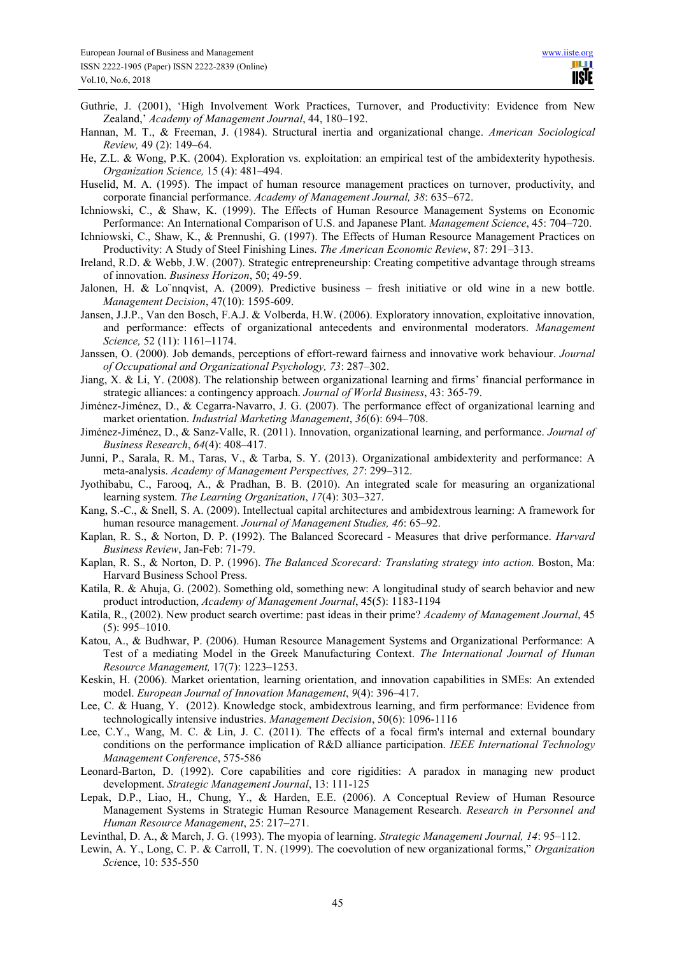- Guthrie, J. (2001), 'High Involvement Work Practices, Turnover, and Productivity: Evidence from New Zealand,' *Academy of Management Journal*, 44, 180–192.
- Hannan, M. T., & Freeman, J. (1984). Structural inertia and organizational change. *American Sociological Review,* 49 (2): 149–64.
- He, Z.L. & Wong, P.K. (2004). Exploration vs. exploitation: an empirical test of the ambidexterity hypothesis. *Organization Science,* 15 (4): 481–494.
- Huselid, M. A. (1995). The impact of human resource management practices on turnover, productivity, and corporate financial performance. *Academy of Management Journal, 38*: 635–672.
- Ichniowski, C., & Shaw, K. (1999). The Effects of Human Resource Management Systems on Economic Performance: An International Comparison of U.S. and Japanese Plant. *Management Science*, 45: 704–720.
- Ichniowski, C., Shaw, K., & Prennushi, G. (1997). The Effects of Human Resource Management Practices on Productivity: A Study of Steel Finishing Lines. *The American Economic Review*, 87: 291–313.
- Ireland, R.D. & Webb, J.W. (2007). Strategic entrepreneurship: Creating competitive advantage through streams of innovation. *Business Horizon*, 50; 49-59.
- Jalonen, H. & Lo¨nnqvist, A. (2009). Predictive business fresh initiative or old wine in a new bottle. *Management Decision*, 47(10): 1595-609.
- Jansen, J.J.P., Van den Bosch, F.A.J. & Volberda, H.W. (2006). Exploratory innovation, exploitative innovation, and performance: effects of organizational antecedents and environmental moderators. *Management Science,* 52 (11): 1161–1174.
- Janssen, O. (2000). Job demands, perceptions of effort-reward fairness and innovative work behaviour. *Journal of Occupational and Organizational Psychology, 73*: 287–302.
- Jiang, X. & Li, Y. (2008). The relationship between organizational learning and firms' financial performance in strategic alliances: a contingency approach. *Journal of World Business*, 43: 365-79.
- Jiménez-Jiménez, D., & Cegarra-Navarro, J. G. (2007). The performance effect of organizational learning and market orientation. *Industrial Marketing Management*, *36*(6): 694–708.
- Jiménez-Jiménez, D., & Sanz-Valle, R. (2011). Innovation, organizational learning, and performance. *Journal of Business Research*, *64*(4): 408–417.
- Junni, P., Sarala, R. M., Taras, V., & Tarba, S. Y. (2013). Organizational ambidexterity and performance: A meta-analysis. *Academy of Management Perspectives, 27*: 299–312.
- Jyothibabu, C., Farooq, A., & Pradhan, B. B. (2010). An integrated scale for measuring an organizational learning system. *The Learning Organization*, *17*(4): 303–327.
- Kang, S.-C., & Snell, S. A. (2009). Intellectual capital architectures and ambidextrous learning: A framework for human resource management. *Journal of Management Studies, 46*: 65–92.
- Kaplan, R. S., & Norton, D. P. (1992). The Balanced Scorecard Measures that drive performance. *Harvard Business Review*, Jan-Feb: 71-79.
- Kaplan, R. S., & Norton, D. P. (1996). *The Balanced Scorecard: Translating strategy into action.* Boston, Ma: Harvard Business School Press.
- Katila, R. & Ahuja, G. (2002). Something old, something new: A longitudinal study of search behavior and new product introduction, *Academy of Management Journal*, 45(5): 1183-1194
- Katila, R., (2002). New product search overtime: past ideas in their prime? *Academy of Management Journal*, 45 (5): 995–1010.
- Katou, A., & Budhwar, P. (2006). Human Resource Management Systems and Organizational Performance: A Test of a mediating Model in the Greek Manufacturing Context. *The International Journal of Human Resource Management,* 17(7): 1223–1253.
- Keskin, H. (2006). Market orientation, learning orientation, and innovation capabilities in SMEs: An extended model. *European Journal of Innovation Management*, *9*(4): 396–417.
- Lee, C. & Huang, Y. (2012). Knowledge stock, ambidextrous learning, and firm performance: Evidence from technologically intensive industries. *Management Decision*, 50(6): 1096-1116
- Lee, C.Y., Wang, M. C. & Lin, J. C. (2011). The effects of a focal firm's internal and external boundary conditions on the performance implication of R&D alliance participation. *IEEE International Technology Management Conference*, 575-586
- Leonard-Barton, D. (1992). Core capabilities and core rigidities: A paradox in managing new product development. *Strategic Management Journal*, 13: 111-125
- Lepak, D.P., Liao, H., Chung, Y., & Harden, E.E. (2006). A Conceptual Review of Human Resource Management Systems in Strategic Human Resource Management Research. *Research in Personnel and Human Resource Management*, 25: 217–271.
- Levinthal, D. A., & March, J. G. (1993). The myopia of learning. *Strategic Management Journal, 14*: 95–112.
- Lewin, A. Y., Long, C. P. & Carroll, T. N. (1999). The coevolution of new organizational forms," *Organization Sci*ence, 10: 535-550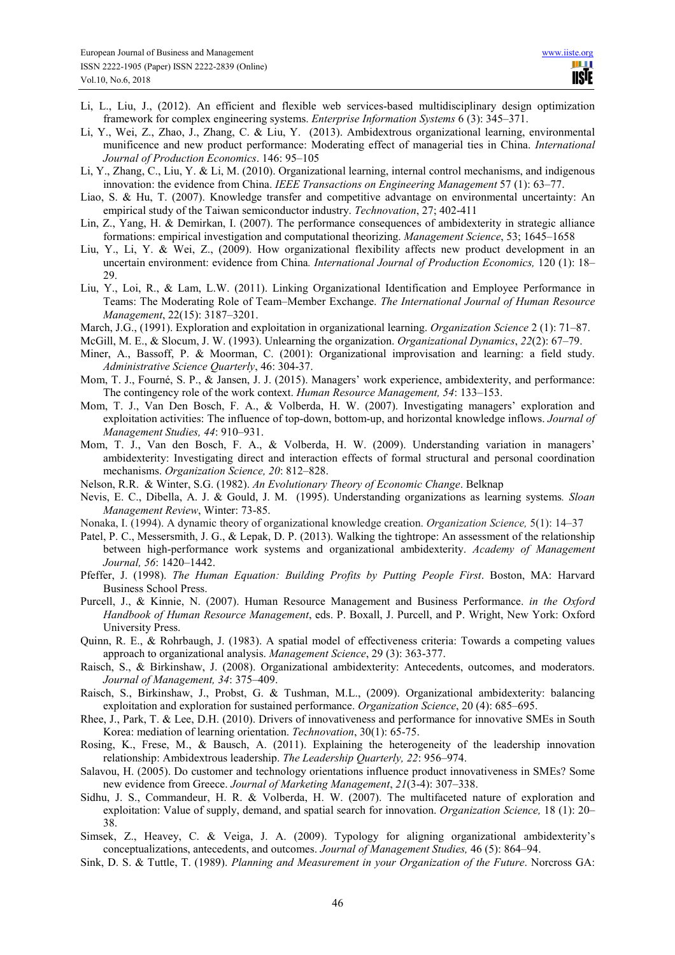- Li, L., Liu, J., (2012). An efficient and flexible web services-based multidisciplinary design optimization framework for complex engineering systems. *Enterprise Information Systems* 6 (3): 345–371.
- Li, Y., Wei, Z., Zhao, J., Zhang, C. & Liu, Y. (2013). Ambidextrous organizational learning, environmental munificence and new product performance: Moderating effect of managerial ties in China. *International Journal of Production Economics*. 146: 95–105
- Li, Y., Zhang, C., Liu, Y. & Li, M. (2010). Organizational learning, internal control mechanisms, and indigenous innovation: the evidence from China. *IEEE Transactions on Engineering Management* 57 (1): 63–77.
- Liao, S. & Hu, T. (2007). Knowledge transfer and competitive advantage on environmental uncertainty: An empirical study of the Taiwan semiconductor industry. *Technovation*, 27; 402-411
- Lin, Z., Yang, H. & Demirkan, I. (2007). The performance consequences of ambidexterity in strategic alliance formations: empirical investigation and computational theorizing. *Management Science*, 53; 1645–1658
- Liu, Y., Li, Y. & Wei, Z., (2009). How organizational flexibility affects new product development in an uncertain environment: evidence from China*. International Journal of Production Economics,* 120 (1): 18– 29.
- Liu, Y., Loi, R., & Lam, L.W. (2011). Linking Organizational Identification and Employee Performance in Teams: The Moderating Role of Team–Member Exchange. *The International Journal of Human Resource Management*, 22(15): 3187–3201.
- March, J.G., (1991). Exploration and exploitation in organizational learning. *Organization Science* 2 (1): 71–87.
- McGill, M. E., & Slocum, J. W. (1993). Unlearning the organization. *Organizational Dynamics*, *22*(2): 67–79.
- Miner, A., Bassoff, P. & Moorman, C. (2001): Organizational improvisation and learning: a field study. *Administrative Science Quarterly*, 46: 304-37.
- Mom, T. J., Fourné, S. P., & Jansen, J. J. (2015). Managers' work experience, ambidexterity, and performance: The contingency role of the work context. *Human Resource Management, 54*: 133–153.
- Mom, T. J., Van Den Bosch, F. A., & Volberda, H. W. (2007). Investigating managers' exploration and exploitation activities: The influence of top-down, bottom-up, and horizontal knowledge inflows. *Journal of Management Studies, 44*: 910–931.
- Mom, T. J., Van den Bosch, F. A., & Volberda, H. W. (2009). Understanding variation in managers' ambidexterity: Investigating direct and interaction effects of formal structural and personal coordination mechanisms. *Organization Science, 20*: 812–828.
- Nelson, R.R. & Winter, S.G. (1982). *An Evolutionary Theory of Economic Change*. Belknap
- Nevis, E. C., Dibella, A. J. & Gould, J. M. (1995). Understanding organizations as learning systems*. Sloan Management Review*, Winter: 73-85.
- Nonaka, I. (1994). A dynamic theory of organizational knowledge creation. *Organization Science,* 5(1): 14–37
- Patel, P. C., Messersmith, J. G., & Lepak, D. P. (2013). Walking the tightrope: An assessment of the relationship between high-performance work systems and organizational ambidexterity. *Academy of Management Journal, 56*: 1420–1442.
- Pfeffer, J. (1998). *The Human Equation: Building Profits by Putting People First*. Boston, MA: Harvard Business School Press.
- Purcell, J., & Kinnie, N. (2007). Human Resource Management and Business Performance. *in the Oxford Handbook of Human Resource Management*, eds. P. Boxall, J. Purcell, and P. Wright, New York: Oxford University Press.
- Quinn, R. E., & Rohrbaugh, J. (1983). A spatial model of effectiveness criteria: Towards a competing values approach to organizational analysis. *Management Science*, 29 (3): 363-377.
- Raisch, S., & Birkinshaw, J. (2008). Organizational ambidexterity: Antecedents, outcomes, and moderators. *Journal of Management, 34*: 375–409.
- Raisch, S., Birkinshaw, J., Probst, G. & Tushman, M.L., (2009). Organizational ambidexterity: balancing exploitation and exploration for sustained performance. *Organization Science*, 20 (4): 685–695.
- Rhee, J., Park, T. & Lee, D.H. (2010). Drivers of innovativeness and performance for innovative SMEs in South Korea: mediation of learning orientation. *Technovation*, 30(1): 65-75.
- Rosing, K., Frese, M., & Bausch, A. (2011). Explaining the heterogeneity of the leadership innovation relationship: Ambidextrous leadership. *The Leadership Quarterly, 22*: 956–974.
- Salavou, H. (2005). Do customer and technology orientations influence product innovativeness in SMEs? Some new evidence from Greece. *Journal of Marketing Management*, *21*(3-4): 307–338.
- Sidhu, J. S., Commandeur, H. R. & Volberda, H. W. (2007). The multifaceted nature of exploration and exploitation: Value of supply, demand, and spatial search for innovation. *Organization Science,* 18 (1): 20– 38.
- Simsek, Z., Heavey, C. & Veiga, J. A. (2009). Typology for aligning organizational ambidexterity's conceptualizations, antecedents, and outcomes. *Journal of Management Studies,* 46 (5): 864–94.
- Sink, D. S. & Tuttle, T. (1989). *Planning and Measurement in your Organization of the Future*. Norcross GA: